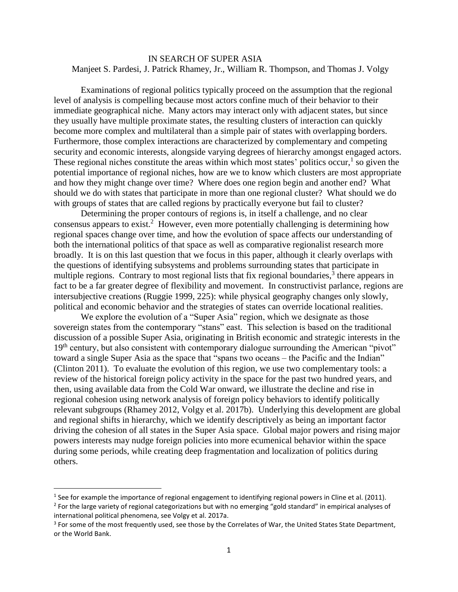### IN SEARCH OF SUPER ASIA Manjeet S. Pardesi, J. Patrick Rhamey, Jr., William R. Thompson, and Thomas J. Volgy

Examinations of regional politics typically proceed on the assumption that the regional level of analysis is compelling because most actors confine much of their behavior to their immediate geographical niche. Many actors may interact only with adjacent states, but since they usually have multiple proximate states, the resulting clusters of interaction can quickly become more complex and multilateral than a simple pair of states with overlapping borders. Furthermore, those complex interactions are characterized by complementary and competing security and economic interests, alongside varying degrees of hierarchy amongst engaged actors. These regional niches constitute the areas within which most states' politics occur, $<sup>1</sup>$  so given the</sup> potential importance of regional niches, how are we to know which clusters are most appropriate and how they might change over time? Where does one region begin and another end? What should we do with states that participate in more than one regional cluster? What should we do with groups of states that are called regions by practically everyone but fail to cluster?

Determining the proper contours of regions is, in itself a challenge, and no clear consensus appears to exist.<sup>2</sup> However, even more potentially challenging is determining how regional spaces change over time, and how the evolution of space affects our understanding of both the international politics of that space as well as comparative regionalist research more broadly. It is on this last question that we focus in this paper, although it clearly overlaps with the questions of identifying subsystems and problems surrounding states that participate in multiple regions. Contrary to most regional lists that fix regional boundaries, $3$  there appears in fact to be a far greater degree of flexibility and movement. In constructivist parlance, regions are intersubjective creations (Ruggie 1999, 225): while physical geography changes only slowly, political and economic behavior and the strategies of states can override locational realities.

We explore the evolution of a "Super Asia" region, which we designate as those sovereign states from the contemporary "stans" east. This selection is based on the traditional discussion of a possible Super Asia, originating in British economic and strategic interests in the 19<sup>th</sup> century, but also consistent with contemporary dialogue surrounding the American "pivot" toward a single Super Asia as the space that "spans two oceans – the Pacific and the Indian" (Clinton 2011). To evaluate the evolution of this region, we use two complementary tools: a review of the historical foreign policy activity in the space for the past two hundred years, and then, using available data from the Cold War onward, we illustrate the decline and rise in regional cohesion using network analysis of foreign policy behaviors to identify politically relevant subgroups (Rhamey 2012, Volgy et al. 2017b). Underlying this development are global and regional shifts in hierarchy, which we identify descriptively as being an important factor driving the cohesion of all states in the Super Asia space. Global major powers and rising major powers interests may nudge foreign policies into more ecumenical behavior within the space during some periods, while creating deep fragmentation and localization of politics during others.

l

<sup>&</sup>lt;sup>1</sup> See for example the importance of regional engagement to identifying regional powers in Cline et al. (2011).

<sup>&</sup>lt;sup>2</sup> For the large variety of regional categorizations but with no emerging "gold standard" in empirical analyses of international political phenomena, see Volgy et al. 2017a.

<sup>&</sup>lt;sup>3</sup> For some of the most frequently used, see those by the Correlates of War, the United States State Department, or the World Bank.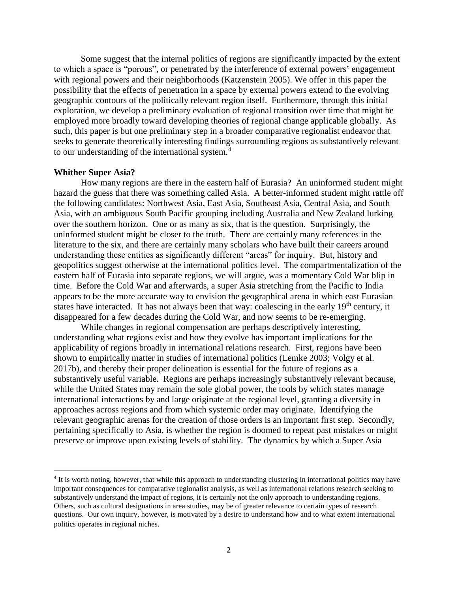Some suggest that the internal politics of regions are significantly impacted by the extent to which a space is "porous", or penetrated by the interference of external powers' engagement with regional powers and their neighborhoods (Katzenstein 2005). We offer in this paper the possibility that the effects of penetration in a space by external powers extend to the evolving geographic contours of the politically relevant region itself. Furthermore, through this initial exploration, we develop a preliminary evaluation of regional transition over time that might be employed more broadly toward developing theories of regional change applicable globally. As such, this paper is but one preliminary step in a broader comparative regionalist endeavor that seeks to generate theoretically interesting findings surrounding regions as substantively relevant to our understanding of the international system. $4$ 

#### **Whither Super Asia?**

 $\overline{\phantom{a}}$ 

How many regions are there in the eastern half of Eurasia? An uninformed student might hazard the guess that there was something called Asia. A better-informed student might rattle off the following candidates: Northwest Asia, East Asia, Southeast Asia, Central Asia, and South Asia, with an ambiguous South Pacific grouping including Australia and New Zealand lurking over the southern horizon. One or as many as six, that is the question. Surprisingly, the uninformed student might be closer to the truth. There are certainly many references in the literature to the six, and there are certainly many scholars who have built their careers around understanding these entities as significantly different "areas" for inquiry. But, history and geopolitics suggest otherwise at the international politics level. The compartmentalization of the eastern half of Eurasia into separate regions, we will argue, was a momentary Cold War blip in time. Before the Cold War and afterwards, a super Asia stretching from the Pacific to India appears to be the more accurate way to envision the geographical arena in which east Eurasian states have interacted. It has not always been that way: coalescing in the early 19<sup>th</sup> century, it disappeared for a few decades during the Cold War, and now seems to be re-emerging.

While changes in regional compensation are perhaps descriptively interesting, understanding what regions exist and how they evolve has important implications for the applicability of regions broadly in international relations research. First, regions have been shown to empirically matter in studies of international politics (Lemke 2003; Volgy et al. 2017b), and thereby their proper delineation is essential for the future of regions as a substantively useful variable. Regions are perhaps increasingly substantively relevant because, while the United States may remain the sole global power, the tools by which states manage international interactions by and large originate at the regional level, granting a diversity in approaches across regions and from which systemic order may originate. Identifying the relevant geographic arenas for the creation of those orders is an important first step. Secondly, pertaining specifically to Asia, is whether the region is doomed to repeat past mistakes or might preserve or improve upon existing levels of stability. The dynamics by which a Super Asia

<sup>&</sup>lt;sup>4</sup> It is worth noting, however, that while this approach to understanding clustering in international politics may have important consequences for comparative regionalist analysis, as well as international relations research seeking to substantively understand the impact of regions, it is certainly not the only approach to understanding regions. Others, such as cultural designations in area studies, may be of greater relevance to certain types of research questions. Our own inquiry, however, is motivated by a desire to understand how and to what extent international politics operates in regional niches.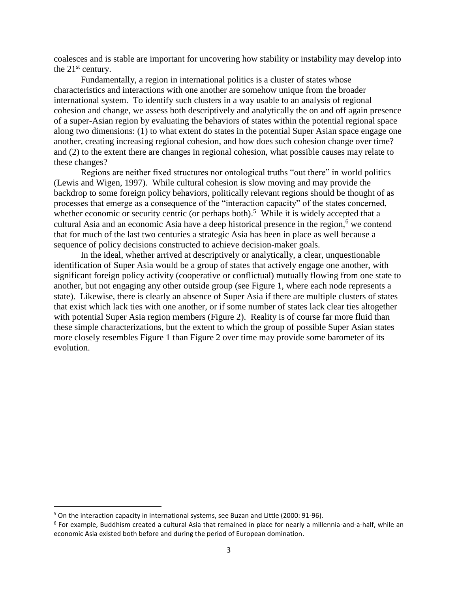coalesces and is stable are important for uncovering how stability or instability may develop into the  $21<sup>st</sup>$  century.

Fundamentally, a region in international politics is a cluster of states whose characteristics and interactions with one another are somehow unique from the broader international system. To identify such clusters in a way usable to an analysis of regional cohesion and change, we assess both descriptively and analytically the on and off again presence of a super-Asian region by evaluating the behaviors of states within the potential regional space along two dimensions: (1) to what extent do states in the potential Super Asian space engage one another, creating increasing regional cohesion, and how does such cohesion change over time? and (2) to the extent there are changes in regional cohesion, what possible causes may relate to these changes?

Regions are neither fixed structures nor ontological truths "out there" in world politics (Lewis and Wigen, 1997). While cultural cohesion is slow moving and may provide the backdrop to some foreign policy behaviors, politically relevant regions should be thought of as processes that emerge as a consequence of the "interaction capacity" of the states concerned, whether economic or security centric (or perhaps both).<sup>5</sup> While it is widely accepted that a cultural Asia and an economic Asia have a deep historical presence in the region, $<sup>6</sup>$  we contend</sup> that for much of the last two centuries a strategic Asia has been in place as well because a sequence of policy decisions constructed to achieve decision-maker goals.

In the ideal, whether arrived at descriptively or analytically, a clear, unquestionable identification of Super Asia would be a group of states that actively engage one another, with significant foreign policy activity (cooperative or conflictual) mutually flowing from one state to another, but not engaging any other outside group (see Figure 1, where each node represents a state). Likewise, there is clearly an absence of Super Asia if there are multiple clusters of states that exist which lack ties with one another, or if some number of states lack clear ties altogether with potential Super Asia region members (Figure 2). Reality is of course far more fluid than these simple characterizations, but the extent to which the group of possible Super Asian states more closely resembles Figure 1 than Figure 2 over time may provide some barometer of its evolution.

 $\overline{\phantom{a}}$ 

<sup>5</sup> On the interaction capacity in international systems, see Buzan and Little (2000: 91-96).

<sup>6</sup> For example, Buddhism created a cultural Asia that remained in place for nearly a millennia-and-a-half, while an economic Asia existed both before and during the period of European domination.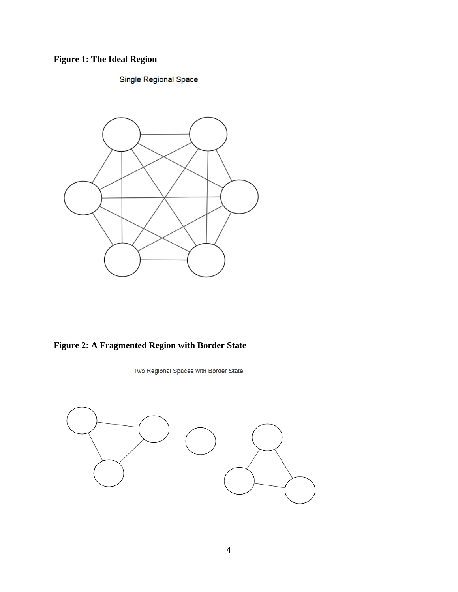# **Figure 1: The Ideal Region**

## Single Regional Space



**Figure 2: A Fragmented Region with Border State**

Two Regional Spaces with Border State

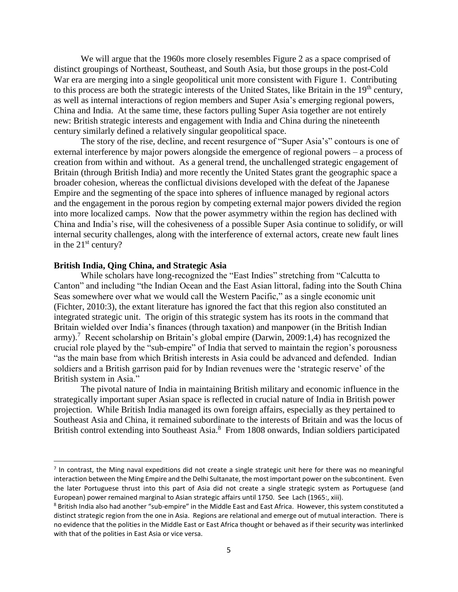We will argue that the 1960s more closely resembles Figure 2 as a space comprised of distinct groupings of Northeast, Southeast, and South Asia, but those groups in the post-Cold War era are merging into a single geopolitical unit more consistent with Figure 1. Contributing to this process are both the strategic interests of the United States, like Britain in the 19<sup>th</sup> century, as well as internal interactions of region members and Super Asia's emerging regional powers, China and India. At the same time, these factors pulling Super Asia together are not entirely new: British strategic interests and engagement with India and China during the nineteenth century similarly defined a relatively singular geopolitical space.

The story of the rise, decline, and recent resurgence of "Super Asia's" contours is one of external interference by major powers alongside the emergence of regional powers – a process of creation from within and without. As a general trend, the unchallenged strategic engagement of Britain (through British India) and more recently the United States grant the geographic space a broader cohesion, whereas the conflictual divisions developed with the defeat of the Japanese Empire and the segmenting of the space into spheres of influence managed by regional actors and the engagement in the porous region by competing external major powers divided the region into more localized camps. Now that the power asymmetry within the region has declined with China and India's rise, will the cohesiveness of a possible Super Asia continue to solidify, or will internal security challenges, along with the interference of external actors, create new fault lines in the 21<sup>st</sup> century?

#### **British India, Qing China, and Strategic Asia**

 $\overline{\phantom{a}}$ 

While scholars have long-recognized the "East Indies" stretching from "Calcutta to Canton" and including "the Indian Ocean and the East Asian littoral, fading into the South China Seas somewhere over what we would call the Western Pacific," as a single economic unit (Fichter, 2010:3), the extant literature has ignored the fact that this region also constituted an integrated strategic unit. The origin of this strategic system has its roots in the command that Britain wielded over India's finances (through taxation) and manpower (in the British Indian army).<sup>7</sup> Recent scholarship on Britain's global empire (Darwin, 2009:1,4) has recognized the crucial role played by the "sub-empire" of India that served to maintain the region's porousness "as the main base from which British interests in Asia could be advanced and defended. Indian soldiers and a British garrison paid for by Indian revenues were the 'strategic reserve' of the British system in Asia."

The pivotal nature of India in maintaining British military and economic influence in the strategically important super Asian space is reflected in crucial nature of India in British power projection. While British India managed its own foreign affairs, especially as they pertained to Southeast Asia and China, it remained subordinate to the interests of Britain and was the locus of British control extending into Southeast Asia.<sup>8</sup> From 1808 onwards, Indian soldiers participated

 $<sup>7</sup>$  In contrast, the Ming naval expeditions did not create a single strategic unit here for there was no meaningful</sup> interaction between the Ming Empire and the Delhi Sultanate, the most important power on the subcontinent. Even the later Portuguese thrust into this part of Asia did not create a single strategic system as Portuguese (and European) power remained marginal to Asian strategic affairs until 1750. See Lach (1965:, xiii).

<sup>&</sup>lt;sup>8</sup> British India also had another "sub-empire" in the Middle East and East Africa. However, this system constituted a distinct strategic region from the one in Asia. Regions are relational and emerge out of mutual interaction. There is no evidence that the polities in the Middle East or East Africa thought or behaved as if their security was interlinked with that of the polities in East Asia or vice versa.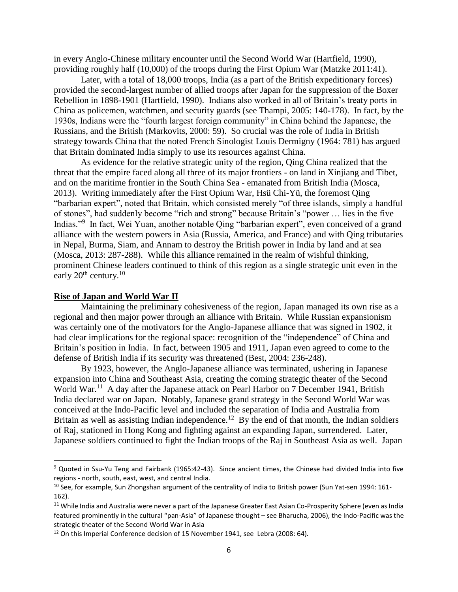in every Anglo-Chinese military encounter until the Second World War (Hartfield, 1990), providing roughly half (10,000) of the troops during the First Opium War (Matzke 2011:41).

Later, with a total of 18,000 troops, India (as a part of the British expeditionary forces) provided the second-largest number of allied troops after Japan for the suppression of the Boxer Rebellion in 1898-1901 (Hartfield, 1990). Indians also worked in all of Britain's treaty ports in China as policemen, watchmen, and security guards (see Thampi, 2005: 140-178). In fact, by the 1930s, Indians were the "fourth largest foreign community" in China behind the Japanese, the Russians, and the British (Markovits, 2000: 59). So crucial was the role of India in British strategy towards China that the noted French Sinologist Louis Dermigny (1964: 781) has argued that Britain dominated India simply to use its resources against China.

As evidence for the relative strategic unity of the region, Qing China realized that the threat that the empire faced along all three of its major frontiers - on land in Xinjiang and Tibet, and on the maritime frontier in the South China Sea - emanated from British India (Mosca, 2013). Writing immediately after the First Opium War, Hsü Chi-Yü, the foremost Qing "barbarian expert", noted that Britain, which consisted merely "of three islands, simply a handful of stones", had suddenly become "rich and strong" because Britain's "power … lies in the five Indias."<sup>9</sup> In fact, Wei Yuan, another notable Qing "barbarian expert", even conceived of a grand alliance with the western powers in Asia (Russia, America, and France) and with Qing tributaries in Nepal, Burma, Siam, and Annam to destroy the British power in India by land and at sea (Mosca, 2013: 287-288). While this alliance remained in the realm of wishful thinking, prominent Chinese leaders continued to think of this region as a single strategic unit even in the early  $20^{th}$  century.<sup>10</sup>

#### **Rise of Japan and World War II**

 $\overline{\phantom{a}}$ 

Maintaining the preliminary cohesiveness of the region, Japan managed its own rise as a regional and then major power through an alliance with Britain. While Russian expansionism was certainly one of the motivators for the Anglo-Japanese alliance that was signed in 1902, it had clear implications for the regional space: recognition of the "independence" of China and Britain's position in India. In fact, between 1905 and 1911, Japan even agreed to come to the defense of British India if its security was threatened (Best, 2004: 236-248).

By 1923, however, the Anglo-Japanese alliance was terminated, ushering in Japanese expansion into China and Southeast Asia, creating the coming strategic theater of the Second World War.<sup>11</sup> A day after the Japanese attack on Pearl Harbor on 7 December 1941, British India declared war on Japan. Notably, Japanese grand strategy in the Second World War was conceived at the Indo-Pacific level and included the separation of India and Australia from Britain as well as assisting Indian independence.<sup>12</sup> By the end of that month, the Indian soldiers of Raj, stationed in Hong Kong and fighting against an expanding Japan, surrendered. Later, Japanese soldiers continued to fight the Indian troops of the Raj in Southeast Asia as well. Japan

<sup>&</sup>lt;sup>9</sup> Quoted in Ssu-Yu Teng and Fairbank (1965:42-43). Since ancient times, the Chinese had divided India into five regions - north, south, east, west, and central India.

<sup>&</sup>lt;sup>10</sup> See, for example, Sun Zhongshan argument of the centrality of India to British power (Sun Yat-sen 1994: 161-162).

<sup>&</sup>lt;sup>11</sup> While India and Australia were never a part of the Japanese Greater East Asian Co-Prosperity Sphere (even as India featured prominently in the cultural "pan-Asia" of Japanese thought – see Bharucha, 2006), the Indo-Pacific was the strategic theater of the Second World War in Asia

<sup>&</sup>lt;sup>12</sup> On this Imperial Conference decision of 15 November 1941, see Lebra (2008: 64).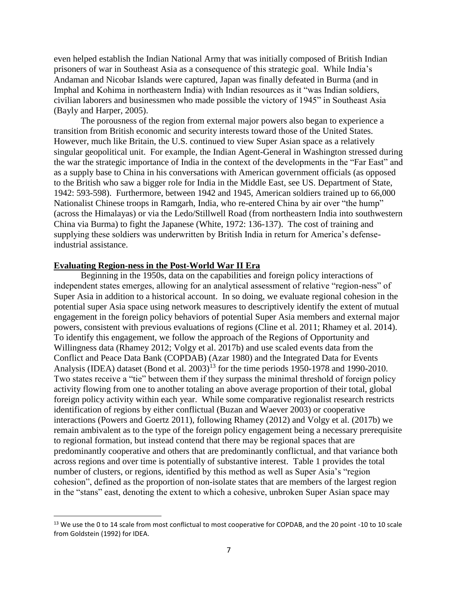even helped establish the Indian National Army that was initially composed of British Indian prisoners of war in Southeast Asia as a consequence of this strategic goal. While India's Andaman and Nicobar Islands were captured, Japan was finally defeated in Burma (and in Imphal and Kohima in northeastern India) with Indian resources as it "was Indian soldiers, civilian laborers and businessmen who made possible the victory of 1945" in Southeast Asia (Bayly and Harper, 2005).

The porousness of the region from external major powers also began to experience a transition from British economic and security interests toward those of the United States. However, much like Britain, the U.S. continued to view Super Asian space as a relatively singular geopolitical unit. For example, the Indian Agent-General in Washington stressed during the war the strategic importance of India in the context of the developments in the "Far East" and as a supply base to China in his conversations with American government officials (as opposed to the British who saw a bigger role for India in the Middle East, see US. Department of State, 1942: 593-598). Furthermore, between 1942 and 1945, American soldiers trained up to 66,000 Nationalist Chinese troops in Ramgarh, India, who re-entered China by air over "the hump" (across the Himalayas) or via the Ledo/Stillwell Road (from northeastern India into southwestern China via Burma) to fight the Japanese (White, 1972: 136-137). The cost of training and supplying these soldiers was underwritten by British India in return for America's defenseindustrial assistance.

#### **Evaluating Region-ness in the Post-World War II Era**

l

Beginning in the 1950s, data on the capabilities and foreign policy interactions of independent states emerges, allowing for an analytical assessment of relative "region-ness" of Super Asia in addition to a historical account. In so doing, we evaluate regional cohesion in the potential super Asia space using network measures to descriptively identify the extent of mutual engagement in the foreign policy behaviors of potential Super Asia members and external major powers, consistent with previous evaluations of regions (Cline et al. 2011; Rhamey et al. 2014). To identify this engagement, we follow the approach of the Regions of Opportunity and Willingness data (Rhamey 2012; Volgy et al. 2017b) and use scaled events data from the Conflict and Peace Data Bank (COPDAB) (Azar 1980) and the Integrated Data for Events Analysis (IDEA) dataset (Bond et al. 2003)<sup>13</sup> for the time periods 1950-1978 and 1990-2010. Two states receive a "tie" between them if they surpass the minimal threshold of foreign policy activity flowing from one to another totaling an above average proportion of their total, global foreign policy activity within each year. While some comparative regionalist research restricts identification of regions by either conflictual (Buzan and Waever 2003) or cooperative interactions (Powers and Goertz 2011), following Rhamey (2012) and Volgy et al. (2017b) we remain ambivalent as to the type of the foreign policy engagement being a necessary prerequisite to regional formation, but instead contend that there may be regional spaces that are predominantly cooperative and others that are predominantly conflictual, and that variance both across regions and over time is potentially of substantive interest. Table 1 provides the total number of clusters, or regions, identified by this method as well as Super Asia's "region cohesion", defined as the proportion of non-isolate states that are members of the largest region in the "stans" east, denoting the extent to which a cohesive, unbroken Super Asian space may

<sup>&</sup>lt;sup>13</sup> We use the 0 to 14 scale from most conflictual to most cooperative for COPDAB, and the 20 point -10 to 10 scale from Goldstein (1992) for IDEA.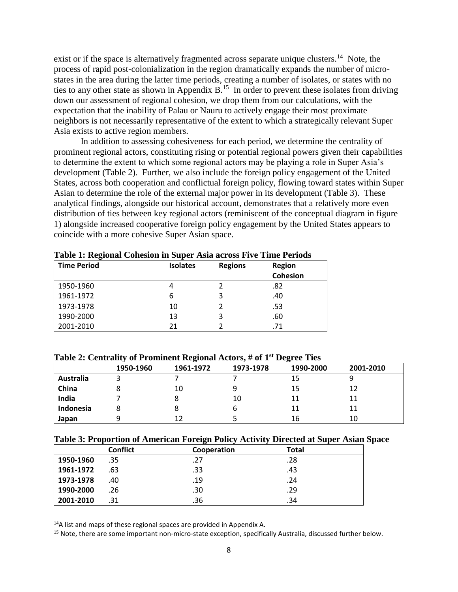exist or if the space is alternatively fragmented across separate unique clusters.<sup>14</sup> Note, the process of rapid post-colonialization in the region dramatically expands the number of microstates in the area during the latter time periods, creating a number of isolates, or states with no ties to any other state as shown in Appendix  $B$ .<sup>15</sup> In order to prevent these isolates from driving down our assessment of regional cohesion, we drop them from our calculations, with the expectation that the inability of Palau or Nauru to actively engage their most proximate neighbors is not necessarily representative of the extent to which a strategically relevant Super Asia exists to active region members.

In addition to assessing cohesiveness for each period, we determine the centrality of prominent regional actors, constituting rising or potential regional powers given their capabilities to determine the extent to which some regional actors may be playing a role in Super Asia's development (Table 2). Further, we also include the foreign policy engagement of the United States, across both cooperation and conflictual foreign policy, flowing toward states within Super Asian to determine the role of the external major power in its development (Table 3). These analytical findings, alongside our historical account, demonstrates that a relatively more even distribution of ties between key regional actors (reminiscent of the conceptual diagram in figure 1) alongside increased cooperative foreign policy engagement by the United States appears to coincide with a more cohesive Super Asian space.

| <b>Time Period</b> | $-0.000$<br><b>Isolates</b><br><b>Regions</b> |   | <b>Region</b>   |  |
|--------------------|-----------------------------------------------|---|-----------------|--|
|                    |                                               |   | <b>Cohesion</b> |  |
| 1950-1960          | 4                                             |   | .82             |  |
| 1961-1972          | 6                                             |   | .40             |  |
| 1973-1978          | 10                                            |   | .53             |  |
| 1990-2000          | 13                                            | 3 | .60             |  |
| 2001-2010          | 21                                            |   | .71             |  |

**Table 1: Regional Cohesion in Super Asia across Five Time Periods**

### **Table 2: Centrality of Prominent Regional Actors, # of 1st Degree Ties**

|           | 1950-1960 | -<br>1961-1972 | 1973-1978 | o<br>1990-2000 | 2001-2010 |
|-----------|-----------|----------------|-----------|----------------|-----------|
|           |           |                |           |                |           |
| Australia |           |                |           | 15             |           |
| China     |           | 10             | q         | 15             | 12        |
| India     |           |                | 10        | 11             | 11        |
| Indonesia |           |                |           | 11             | 11        |
| Japan     |           | 12             |           | 16             | 10        |

|  |  | Table 3: Proportion of American Foreign Policy Activity Directed at Super Asian Space |
|--|--|---------------------------------------------------------------------------------------|
|  |  |                                                                                       |

|           | <b>Conflict</b> | Cooperation | <b>Total</b> |  |
|-----------|-----------------|-------------|--------------|--|
| 1950-1960 | .35             | .27         | .28          |  |
| 1961-1972 | .63             | .33         | .43          |  |
| 1973-1978 | .40             | .19         | .24          |  |
| 1990-2000 | .26             | .30         | .29          |  |
| 2001-2010 | .31             | .36         | .34          |  |

 $14A$  list and maps of these regional spaces are provided in Appendix A.

l

<sup>15</sup> Note, there are some important non-micro-state exception, specifically Australia, discussed further below.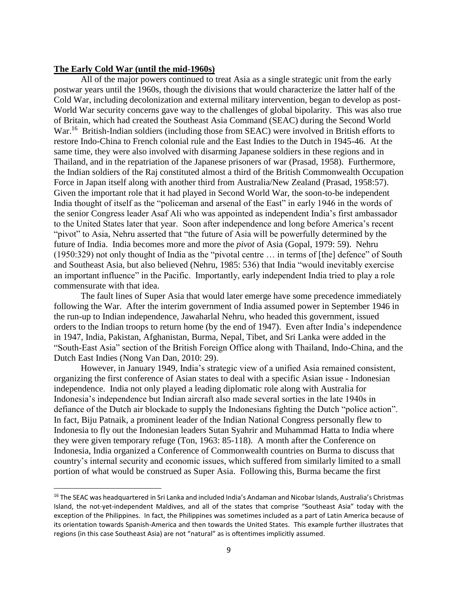#### **The Early Cold War (until the mid-1960s)**

l

All of the major powers continued to treat Asia as a single strategic unit from the early postwar years until the 1960s, though the divisions that would characterize the latter half of the Cold War, including decolonization and external military intervention, began to develop as post-World War security concerns gave way to the challenges of global bipolarity. This was also true of Britain, which had created the Southeast Asia Command (SEAC) during the Second World War.<sup>16</sup> British-Indian soldiers (including those from SEAC) were involved in British efforts to restore Indo-China to French colonial rule and the East Indies to the Dutch in 1945-46. At the same time, they were also involved with disarming Japanese soldiers in these regions and in Thailand, and in the repatriation of the Japanese prisoners of war (Prasad, 1958). Furthermore, the Indian soldiers of the Raj constituted almost a third of the British Commonwealth Occupation Force in Japan itself along with another third from Australia/New Zealand (Prasad, 1958:57). Given the important role that it had played in Second World War, the soon-to-be independent India thought of itself as the "policeman and arsenal of the East" in early 1946 in the words of the senior Congress leader Asaf Ali who was appointed as independent India's first ambassador to the United States later that year. Soon after independence and long before America's recent "pivot" to Asia, Nehru asserted that "the future of Asia will be powerfully determined by the future of India. India becomes more and more the *pivot* of Asia (Gopal, 1979: 59). Nehru (1950:329) not only thought of India as the "pivotal centre … in terms of [the] defence" of South and Southeast Asia, but also believed (Nehru, 1985: 536) that India "would inevitably exercise an important influence" in the Pacific. Importantly, early independent India tried to play a role commensurate with that idea.

The fault lines of Super Asia that would later emerge have some precedence immediately following the War. After the interim government of India assumed power in September 1946 in the run-up to Indian independence, Jawaharlal Nehru, who headed this government, issued orders to the Indian troops to return home (by the end of 1947). Even after India's independence in 1947, India, Pakistan, Afghanistan, Burma, Nepal, Tibet, and Sri Lanka were added in the "South-East Asia" section of the British Foreign Office along with Thailand, Indo-China, and the Dutch East Indies (Nong Van Dan, 2010: 29).

However, in January 1949, India's strategic view of a unified Asia remained consistent, organizing the first conference of Asian states to deal with a specific Asian issue - Indonesian independence. India not only played a leading diplomatic role along with Australia for Indonesia's independence but Indian aircraft also made several sorties in the late 1940s in defiance of the Dutch air blockade to supply the Indonesians fighting the Dutch "police action". In fact, Biju Patnaik, a prominent leader of the Indian National Congress personally flew to Indonesia to fly out the Indonesian leaders Sutan Syahrir and Muhammad Hatta to India where they were given temporary refuge (Ton, 1963: 85-118). A month after the Conference on Indonesia, India organized a Conference of Commonwealth countries on Burma to discuss that country's internal security and economic issues, which suffered from similarly limited to a small portion of what would be construed as Super Asia. Following this, Burma became the first

<sup>&</sup>lt;sup>16</sup> The SEAC was headquartered in Sri Lanka and included India's Andaman and Nicobar Islands, Australia's Christmas Island, the not-yet-independent Maldives, and all of the states that comprise "Southeast Asia" today with the exception of the Philippines. In fact, the Philippines was sometimes included as a part of Latin America because of its orientation towards Spanish-America and then towards the United States. This example further illustrates that regions (in this case Southeast Asia) are not "natural" as is oftentimes implicitly assumed.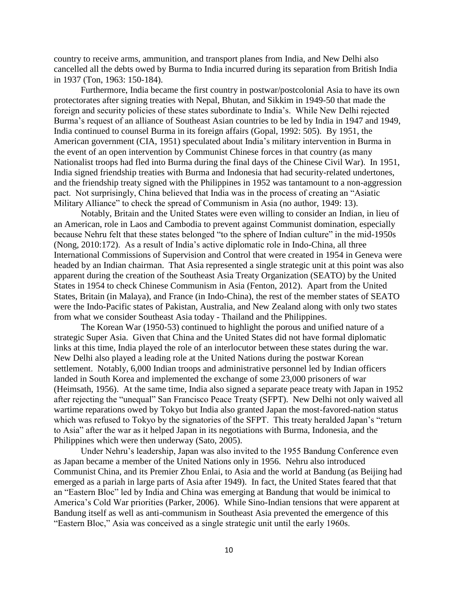country to receive arms, ammunition, and transport planes from India, and New Delhi also cancelled all the debts owed by Burma to India incurred during its separation from British India in 1937 (Ton, 1963: 150-184).

Furthermore, India became the first country in postwar/postcolonial Asia to have its own protectorates after signing treaties with Nepal, Bhutan, and Sikkim in 1949-50 that made the foreign and security policies of these states subordinate to India's. While New Delhi rejected Burma's request of an alliance of Southeast Asian countries to be led by India in 1947 and 1949, India continued to counsel Burma in its foreign affairs (Gopal, 1992: 505). By 1951, the American government (CIA, 1951) speculated about India's military intervention in Burma in the event of an open intervention by Communist Chinese forces in that country (as many Nationalist troops had fled into Burma during the final days of the Chinese Civil War). In 1951, India signed friendship treaties with Burma and Indonesia that had security-related undertones, and the friendship treaty signed with the Philippines in 1952 was tantamount to a non-aggression pact. Not surprisingly, China believed that India was in the process of creating an "Asiatic Military Alliance" to check the spread of Communism in Asia (no author, 1949: 13).

Notably, Britain and the United States were even willing to consider an Indian, in lieu of an American, role in Laos and Cambodia to prevent against Communist domination, especially because Nehru felt that these states belonged "to the sphere of Indian culture" in the mid-1950s (Nong, 2010:172). As a result of India's active diplomatic role in Indo-China, all three International Commissions of Supervision and Control that were created in 1954 in Geneva were headed by an Indian chairman. That Asia represented a single strategic unit at this point was also apparent during the creation of the Southeast Asia Treaty Organization (SEATO) by the United States in 1954 to check Chinese Communism in Asia (Fenton, 2012). Apart from the United States, Britain (in Malaya), and France (in Indo-China), the rest of the member states of SEATO were the Indo-Pacific states of Pakistan, Australia, and New Zealand along with only two states from what we consider Southeast Asia today - Thailand and the Philippines.

The Korean War (1950-53) continued to highlight the porous and unified nature of a strategic Super Asia. Given that China and the United States did not have formal diplomatic links at this time, India played the role of an interlocutor between these states during the war. New Delhi also played a leading role at the United Nations during the postwar Korean settlement. Notably, 6,000 Indian troops and administrative personnel led by Indian officers landed in South Korea and implemented the exchange of some 23,000 prisoners of war (Heimsath, 1956). At the same time, India also signed a separate peace treaty with Japan in 1952 after rejecting the "unequal" San Francisco Peace Treaty (SFPT). New Delhi not only waived all wartime reparations owed by Tokyo but India also granted Japan the most-favored-nation status which was refused to Tokyo by the signatories of the SFPT. This treaty heralded Japan's "return to Asia" after the war as it helped Japan in its negotiations with Burma, Indonesia, and the Philippines which were then underway (Sato, 2005).

Under Nehru's leadership, Japan was also invited to the 1955 Bandung Conference even as Japan became a member of the United Nations only in 1956. Nehru also introduced Communist China, and its Premier Zhou Enlai, to Asia and the world at Bandung (as Beijing had emerged as a pariah in large parts of Asia after 1949). In fact, the United States feared that that an "Eastern Bloc" led by India and China was emerging at Bandung that would be inimical to America's Cold War priorities (Parker, 2006). While Sino-Indian tensions that were apparent at Bandung itself as well as anti-communism in Southeast Asia prevented the emergence of this "Eastern Bloc," Asia was conceived as a single strategic unit until the early 1960s.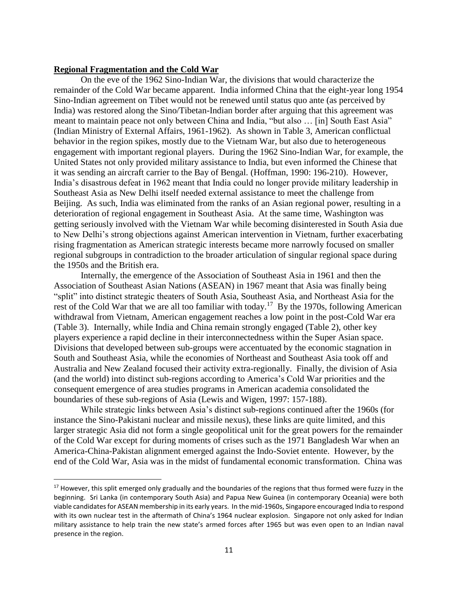#### **Regional Fragmentation and the Cold War**

 $\overline{a}$ 

On the eve of the 1962 Sino-Indian War, the divisions that would characterize the remainder of the Cold War became apparent. India informed China that the eight-year long 1954 Sino-Indian agreement on Tibet would not be renewed until status quo ante (as perceived by India) was restored along the Sino/Tibetan-Indian border after arguing that this agreement was meant to maintain peace not only between China and India, "but also … [in] South East Asia" (Indian Ministry of External Affairs, 1961-1962). As shown in Table 3, American conflictual behavior in the region spikes, mostly due to the Vietnam War, but also due to heterogeneous engagement with important regional players. During the 1962 Sino-Indian War, for example, the United States not only provided military assistance to India, but even informed the Chinese that it was sending an aircraft carrier to the Bay of Bengal. (Hoffman, 1990: 196-210). However, India's disastrous defeat in 1962 meant that India could no longer provide military leadership in Southeast Asia as New Delhi itself needed external assistance to meet the challenge from Beijing. As such, India was eliminated from the ranks of an Asian regional power, resulting in a deterioration of regional engagement in Southeast Asia. At the same time, Washington was getting seriously involved with the Vietnam War while becoming disinterested in South Asia due to New Delhi's strong objections against American intervention in Vietnam, further exacerbating rising fragmentation as American strategic interests became more narrowly focused on smaller regional subgroups in contradiction to the broader articulation of singular regional space during the 1950s and the British era.

Internally, the emergence of the Association of Southeast Asia in 1961 and then the Association of Southeast Asian Nations (ASEAN) in 1967 meant that Asia was finally being "split" into distinct strategic theaters of South Asia, Southeast Asia, and Northeast Asia for the rest of the Cold War that we are all too familiar with today.<sup>17</sup> By the 1970s, following American withdrawal from Vietnam, American engagement reaches a low point in the post-Cold War era (Table 3). Internally, while India and China remain strongly engaged (Table 2), other key players experience a rapid decline in their interconnectedness within the Super Asian space. Divisions that developed between sub-groups were accentuated by the economic stagnation in South and Southeast Asia, while the economies of Northeast and Southeast Asia took off and Australia and New Zealand focused their activity extra-regionally. Finally, the division of Asia (and the world) into distinct sub-regions according to America's Cold War priorities and the consequent emergence of area studies programs in American academia consolidated the boundaries of these sub-regions of Asia (Lewis and Wigen, 1997: 157-188).

While strategic links between Asia's distinct sub-regions continued after the 1960s (for instance the Sino-Pakistani nuclear and missile nexus), these links are quite limited, and this larger strategic Asia did not form a single geopolitical unit for the great powers for the remainder of the Cold War except for during moments of crises such as the 1971 Bangladesh War when an America-China-Pakistan alignment emerged against the Indo-Soviet entente. However, by the end of the Cold War, Asia was in the midst of fundamental economic transformation. China was

<sup>&</sup>lt;sup>17</sup> However, this split emerged only gradually and the boundaries of the regions that thus formed were fuzzy in the beginning. Sri Lanka (in contemporary South Asia) and Papua New Guinea (in contemporary Oceania) were both viable candidates for ASEAN membership in its early years. In the mid-1960s, Singapore encouraged India to respond with its own nuclear test in the aftermath of China's 1964 nuclear explosion. Singapore not only asked for Indian military assistance to help train the new state's armed forces after 1965 but was even open to an Indian naval presence in the region.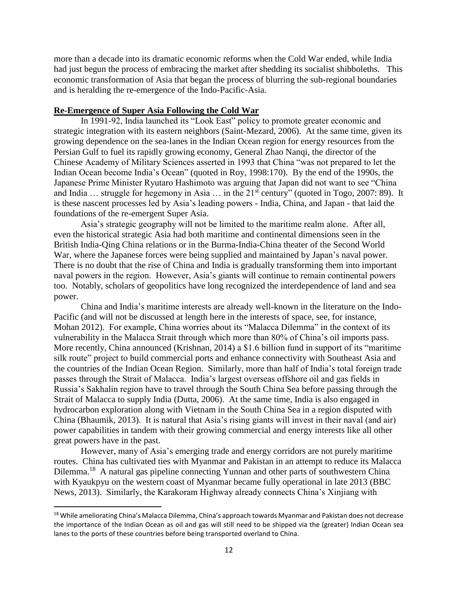more than a decade into its dramatic economic reforms when the Cold War ended, while India had just begun the process of embracing the market after shedding its socialist shibboleths. This economic transformation of Asia that began the process of blurring the sub-regional boundaries and is heralding the re-emergence of the Indo-Pacific-Asia.

### **Re-Emergence of Super Asia Following the Cold War**

In 1991-92, India launched its "Look East" policy to promote greater economic and strategic integration with its eastern neighbors (Saint-Mezard, 2006). At the same time, given its growing dependence on the sea-lanes in the Indian Ocean region for energy resources from the Persian Gulf to fuel its rapidly growing economy, General Zhao Nanqi, the director of the Chinese Academy of Military Sciences asserted in 1993 that China "was not prepared to let the Indian Ocean become India's Ocean" (quoted in Roy, 1998:170). By the end of the 1990s, the Japanese Prime Minister Ryutaro Hashimoto was arguing that Japan did not want to see "China and India  $\ldots$  struggle for hegemony in Asia  $\ldots$  in the 21<sup>st</sup> century" (quoted in Togo, 2007: 89). It is these nascent processes led by Asia's leading powers - India, China, and Japan - that laid the foundations of the re-emergent Super Asia.

Asia's strategic geography will not be limited to the maritime realm alone. After all, even the historical strategic Asia had both maritime and continental dimensions seen in the British India-Qing China relations or in the Burma-India-China theater of the Second World War, where the Japanese forces were being supplied and maintained by Japan's naval power. There is no doubt that the rise of China and India is gradually transforming them into important naval powers in the region. However, Asia's giants will continue to remain continental powers too. Notably, scholars of geopolitics have long recognized the interdependence of land and sea power.

China and India's maritime interests are already well-known in the literature on the Indo-Pacific (and will not be discussed at length here in the interests of space, see, for instance, Mohan 2012). For example, China worries about its "Malacca Dilemma" in the context of its vulnerability in the Malacca Strait through which more than 80% of China's oil imports pass. More recently, China announced (Krishnan, 2014) a \$1.6 billion fund in support of its "maritime silk route" project to build commercial ports and enhance connectivity with Southeast Asia and the countries of the Indian Ocean Region. Similarly, more than half of India's total foreign trade passes through the Strait of Malacca. India's largest overseas offshore oil and gas fields in Russia's Sakhalin region have to travel through the South China Sea before passing through the Strait of Malacca to supply India (Dutta, 2006). At the same time, India is also engaged in hydrocarbon exploration along with Vietnam in the South China Sea in a region disputed with China (Bhaumik, 2013). It is natural that Asia's rising giants will invest in their naval (and air) power capabilities in tandem with their growing commercial and energy interests like all other great powers have in the past.

However, many of Asia's emerging trade and energy corridors are not purely maritime routes. China has cultivated ties with Myanmar and Pakistan in an attempt to reduce its Malacca Dilemma.<sup>18</sup> A natural gas pipeline connecting Yunnan and other parts of southwestern China with Kyaukpyu on the western coast of Myanmar became fully operational in late 2013 (BBC) News, 2013). Similarly, the Karakoram Highway already connects China's Xinjiang with

 $\overline{\phantom{a}}$ 

<sup>&</sup>lt;sup>18</sup> While ameliorating China's Malacca Dilemma, China's approach towards Myanmar and Pakistan does not decrease the importance of the Indian Ocean as oil and gas will still need to be shipped via the (greater) Indian Ocean sea lanes to the ports of these countries before being transported overland to China.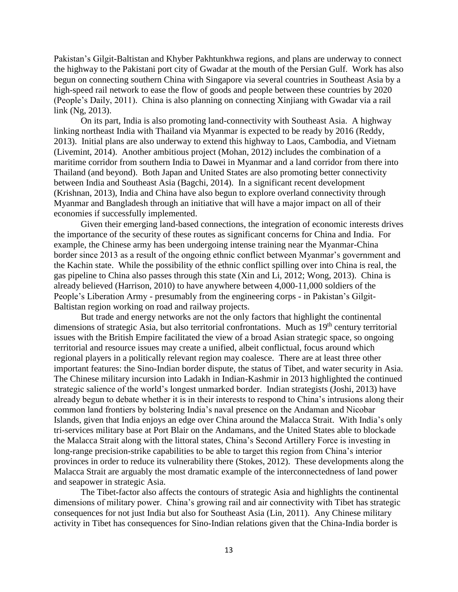Pakistan's Gilgit-Baltistan and Khyber Pakhtunkhwa regions, and plans are underway to connect the highway to the Pakistani port city of Gwadar at the mouth of the Persian Gulf. Work has also begun on connecting southern China with Singapore via several countries in Southeast Asia by a high-speed rail network to ease the flow of goods and people between these countries by 2020 (People's Daily, 2011). China is also planning on connecting Xinjiang with Gwadar via a rail link (Ng, 2013).

On its part, India is also promoting land-connectivity with Southeast Asia. A highway linking northeast India with Thailand via Myanmar is expected to be ready by 2016 (Reddy, 2013). Initial plans are also underway to extend this highway to Laos, Cambodia, and Vietnam (Livemint, 2014). Another ambitious project (Mohan, 2012) includes the combination of a maritime corridor from southern India to Dawei in Myanmar and a land corridor from there into Thailand (and beyond). Both Japan and United States are also promoting better connectivity between India and Southeast Asia (Bagchi, 2014). In a significant recent development (Krishnan, 2013), India and China have also begun to explore overland connectivity through Myanmar and Bangladesh through an initiative that will have a major impact on all of their economies if successfully implemented.

Given their emerging land-based connections, the integration of economic interests drives the importance of the security of these routes as significant concerns for China and India. For example, the Chinese army has been undergoing intense training near the Myanmar-China border since 2013 as a result of the ongoing ethnic conflict between Myanmar's government and the Kachin state. While the possibility of the ethnic conflict spilling over into China is real, the gas pipeline to China also passes through this state (Xin and Li, 2012; Wong, 2013). China is already believed (Harrison, 2010) to have anywhere between 4,000-11,000 soldiers of the People's Liberation Army - presumably from the engineering corps - in Pakistan's Gilgit-Baltistan region working on road and railway projects.

But trade and energy networks are not the only factors that highlight the continental dimensions of strategic Asia, but also territorial confrontations. Much as  $19<sup>th</sup>$  century territorial issues with the British Empire facilitated the view of a broad Asian strategic space, so ongoing territorial and resource issues may create a unified, albeit conflictual, focus around which regional players in a politically relevant region may coalesce. There are at least three other important features: the Sino-Indian border dispute, the status of Tibet, and water security in Asia. The Chinese military incursion into Ladakh in Indian-Kashmir in 2013 highlighted the continued strategic salience of the world's longest unmarked border. Indian strategists (Joshi, 2013) have already begun to debate whether it is in their interests to respond to China's intrusions along their common land frontiers by bolstering India's naval presence on the Andaman and Nicobar Islands, given that India enjoys an edge over China around the Malacca Strait. With India's only tri-services military base at Port Blair on the Andamans, and the United States able to blockade the Malacca Strait along with the littoral states, China's Second Artillery Force is investing in long-range precision-strike capabilities to be able to target this region from China's interior provinces in order to reduce its vulnerability there (Stokes, 2012). These developments along the Malacca Strait are arguably the most dramatic example of the interconnectedness of land power and seapower in strategic Asia.

The Tibet-factor also affects the contours of strategic Asia and highlights the continental dimensions of military power. China's growing rail and air connectivity with Tibet has strategic consequences for not just India but also for Southeast Asia (Lin, 2011). Any Chinese military activity in Tibet has consequences for Sino-Indian relations given that the China-India border is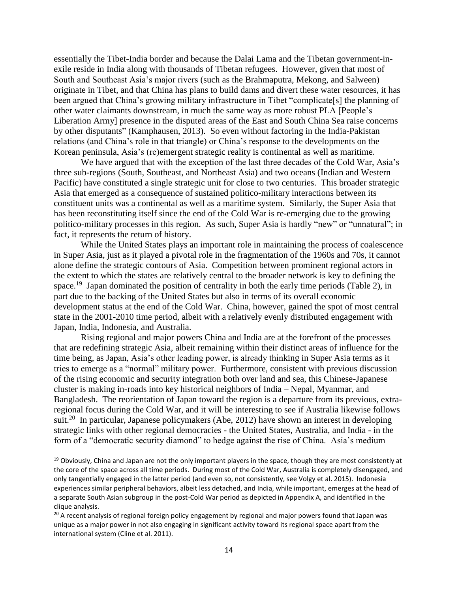essentially the Tibet-India border and because the Dalai Lama and the Tibetan government-inexile reside in India along with thousands of Tibetan refugees. However, given that most of South and Southeast Asia's major rivers (such as the Brahmaputra, Mekong, and Salween) originate in Tibet, and that China has plans to build dams and divert these water resources, it has been argued that China's growing military infrastructure in Tibet "complicate[s] the planning of other water claimants downstream, in much the same way as more robust PLA [People's Liberation Army] presence in the disputed areas of the East and South China Sea raise concerns by other disputants" (Kamphausen, 2013). So even without factoring in the India-Pakistan relations (and China's role in that triangle) or China's response to the developments on the Korean peninsula, Asia's (re)emergent strategic reality is continental as well as maritime.

We have argued that with the exception of the last three decades of the Cold War, Asia's three sub-regions (South, Southeast, and Northeast Asia) and two oceans (Indian and Western Pacific) have constituted a single strategic unit for close to two centuries. This broader strategic Asia that emerged as a consequence of sustained politico-military interactions between its constituent units was a continental as well as a maritime system. Similarly, the Super Asia that has been reconstituting itself since the end of the Cold War is re-emerging due to the growing politico-military processes in this region. As such, Super Asia is hardly "new" or "unnatural"; in fact, it represents the return of history.

While the United States plays an important role in maintaining the process of coalescence in Super Asia, just as it played a pivotal role in the fragmentation of the 1960s and 70s, it cannot alone define the strategic contours of Asia. Competition between prominent regional actors in the extent to which the states are relatively central to the broader network is key to defining the space.<sup>19</sup> Japan dominated the position of centrality in both the early time periods (Table 2), in part due to the backing of the United States but also in terms of its overall economic development status at the end of the Cold War. China, however, gained the spot of most central state in the 2001-2010 time period, albeit with a relatively evenly distributed engagement with Japan, India, Indonesia, and Australia.

Rising regional and major powers China and India are at the forefront of the processes that are redefining strategic Asia, albeit remaining within their distinct areas of influence for the time being, as Japan, Asia's other leading power, is already thinking in Super Asia terms as it tries to emerge as a "normal" military power. Furthermore, consistent with previous discussion of the rising economic and security integration both over land and sea, this Chinese-Japanese cluster is making in-roads into key historical neighbors of India – Nepal, Myanmar, and Bangladesh. The reorientation of Japan toward the region is a departure from its previous, extraregional focus during the Cold War, and it will be interesting to see if Australia likewise follows suit.<sup>20</sup> In particular, Japanese policymakers (Abe, 2012) have shown an interest in developing strategic links with other regional democracies - the United States, Australia, and India - in the form of a "democratic security diamond" to hedge against the rise of China. Asia's medium

 $\overline{\phantom{a}}$ 

 $19$  Obviously, China and Japan are not the only important players in the space, though they are most consistently at the core of the space across all time periods. During most of the Cold War, Australia is completely disengaged, and only tangentially engaged in the latter period (and even so, not consistently, see Volgy et al. 2015). Indonesia experiences similar peripheral behaviors, albeit less detached, and India, while important, emerges at the head of a separate South Asian subgroup in the post-Cold War period as depicted in Appendix A, and identified in the clique analysis.

<sup>&</sup>lt;sup>20</sup> A recent analysis of regional foreign policy engagement by regional and major powers found that Japan was unique as a major power in not also engaging in significant activity toward its regional space apart from the international system (Cline et al. 2011).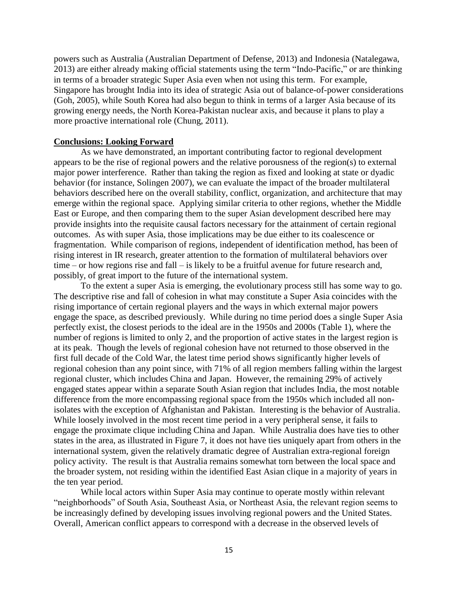powers such as Australia (Australian Department of Defense, 2013) and Indonesia (Natalegawa, 2013) are either already making official statements using the term "Indo-Pacific," or are thinking in terms of a broader strategic Super Asia even when not using this term. For example, Singapore has brought India into its idea of strategic Asia out of balance-of-power considerations (Goh, 2005), while South Korea had also begun to think in terms of a larger Asia because of its growing energy needs, the North Korea-Pakistan nuclear axis, and because it plans to play a more proactive international role (Chung, 2011).

### **Conclusions: Looking Forward**

As we have demonstrated, an important contributing factor to regional development appears to be the rise of regional powers and the relative porousness of the region(s) to external major power interference. Rather than taking the region as fixed and looking at state or dyadic behavior (for instance, Solingen 2007), we can evaluate the impact of the broader multilateral behaviors described here on the overall stability, conflict, organization, and architecture that may emerge within the regional space. Applying similar criteria to other regions, whether the Middle East or Europe, and then comparing them to the super Asian development described here may provide insights into the requisite causal factors necessary for the attainment of certain regional outcomes. As with super Asia, those implications may be due either to its coalescence or fragmentation. While comparison of regions, independent of identification method, has been of rising interest in IR research, greater attention to the formation of multilateral behaviors over time – or how regions rise and fall – is likely to be a fruitful avenue for future research and, possibly, of great import to the future of the international system.

To the extent a super Asia is emerging, the evolutionary process still has some way to go. The descriptive rise and fall of cohesion in what may constitute a Super Asia coincides with the rising importance of certain regional players and the ways in which external major powers engage the space, as described previously. While during no time period does a single Super Asia perfectly exist, the closest periods to the ideal are in the 1950s and 2000s (Table 1), where the number of regions is limited to only 2, and the proportion of active states in the largest region is at its peak. Though the levels of regional cohesion have not returned to those observed in the first full decade of the Cold War, the latest time period shows significantly higher levels of regional cohesion than any point since, with 71% of all region members falling within the largest regional cluster, which includes China and Japan. However, the remaining 29% of actively engaged states appear within a separate South Asian region that includes India, the most notable difference from the more encompassing regional space from the 1950s which included all nonisolates with the exception of Afghanistan and Pakistan. Interesting is the behavior of Australia. While loosely involved in the most recent time period in a very peripheral sense, it fails to engage the proximate clique including China and Japan. While Australia does have ties to other states in the area, as illustrated in Figure 7, it does not have ties uniquely apart from others in the international system, given the relatively dramatic degree of Australian extra-regional foreign policy activity. The result is that Australia remains somewhat torn between the local space and the broader system, not residing within the identified East Asian clique in a majority of years in the ten year period.

While local actors within Super Asia may continue to operate mostly within relevant "neighborhoods" of South Asia, Southeast Asia, or Northeast Asia, the relevant region seems to be increasingly defined by developing issues involving regional powers and the United States. Overall, American conflict appears to correspond with a decrease in the observed levels of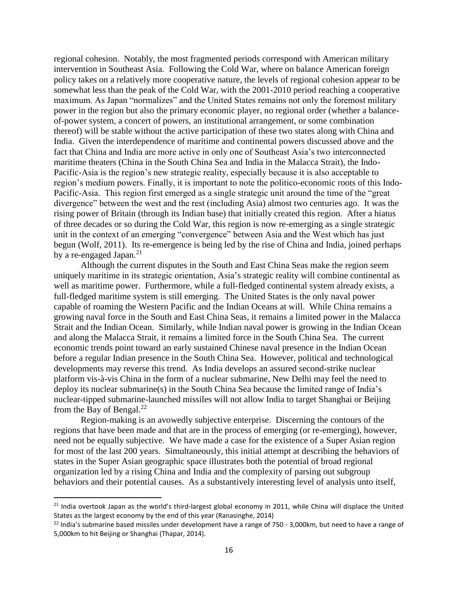regional cohesion. Notably, the most fragmented periods correspond with American military intervention in Southeast Asia. Following the Cold War, where on balance American foreign policy takes on a relatively more cooperative nature, the levels of regional cohesion appear to be somewhat less than the peak of the Cold War, with the 2001-2010 period reaching a cooperative maximum. As Japan "normalizes" and the United States remains not only the foremost military power in the region but also the primary economic player, no regional order (whether a balanceof-power system, a concert of powers, an institutional arrangement, or some combination thereof) will be stable without the active participation of these two states along with China and India. Given the interdependence of maritime and continental powers discussed above and the fact that China and India are more active in only one of Southeast Asia's two interconnected maritime theaters (China in the South China Sea and India in the Malacca Strait), the Indo-Pacific-Asia is the region's new strategic reality, especially because it is also acceptable to region's medium powers. Finally, it is important to note the politico-economic roots of this Indo-Pacific-Asia. This region first emerged as a single strategic unit around the time of the "great divergence" between the west and the rest (including Asia) almost two centuries ago. It was the rising power of Britain (through its Indian base) that initially created this region. After a hiatus of three decades or so during the Cold War, this region is now re-emerging as a single strategic unit in the context of an emerging "convergence" between Asia and the West which has just begun (Wolf, 2011). Its re-emergence is being led by the rise of China and India, joined perhaps by a re-engaged Japan.<sup>21</sup>

Although the current disputes in the South and East China Seas make the region seem uniquely maritime in its strategic orientation, Asia's strategic reality will combine continental as well as maritime power. Furthermore, while a full-fledged continental system already exists, a full-fledged maritime system is still emerging. The United States is the only naval power capable of roaming the Western Pacific and the Indian Oceans at will. While China remains a growing naval force in the South and East China Seas, it remains a limited power in the Malacca Strait and the Indian Ocean. Similarly, while Indian naval power is growing in the Indian Ocean and along the Malacca Strait, it remains a limited force in the South China Sea. The current economic trends point toward an early sustained Chinese naval presence in the Indian Ocean before a regular Indian presence in the South China Sea. However, political and technological developments may reverse this trend. As India develops an assured second-strike nuclear platform vis-à-vis China in the form of a nuclear submarine, New Delhi may feel the need to deploy its nuclear submarine(s) in the South China Sea because the limited range of India's nuclear-tipped submarine-launched missiles will not allow India to target Shanghai or Beijing from the Bay of Bengal. $^{22}$ 

Region-making is an avowedly subjective enterprise. Discerning the contours of the regions that have been made and that are in the process of emerging (or re-emerging), however, need not be equally subjective. We have made a case for the existence of a Super Asian region for most of the last 200 years. Simultaneously, this initial attempt at describing the behaviors of states in the Super Asian geographic space illustrates both the potential of broad regional organization led by a rising China and India and the complexity of parsing out subgroup behaviors and their potential causes. As a substantively interesting level of analysis unto itself,

 $\overline{a}$ 

 $21$  India overtook Japan as the world's third-largest global economy in 2011, while China will displace the United States as the largest economy by the end of this year (Ranasinghe, 2014)

 $^{22}$  India's submarine based missiles under development have a range of 750 - 3,000km, but need to have a range of 5,000km to hit Beijing or Shanghai (Thapar, 2014).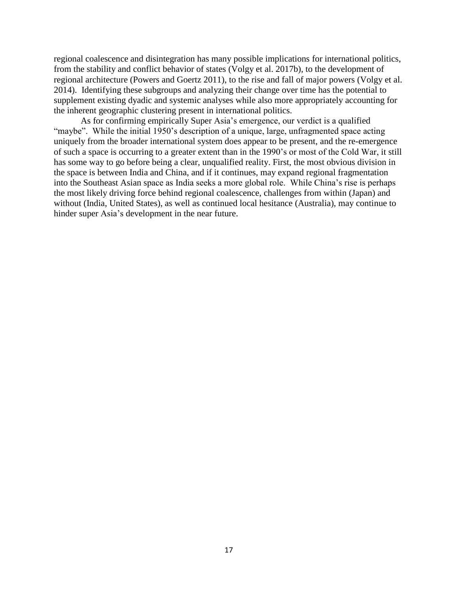regional coalescence and disintegration has many possible implications for international politics, from the stability and conflict behavior of states (Volgy et al. 2017b), to the development of regional architecture (Powers and Goertz 2011), to the rise and fall of major powers (Volgy et al. 2014). Identifying these subgroups and analyzing their change over time has the potential to supplement existing dyadic and systemic analyses while also more appropriately accounting for the inherent geographic clustering present in international politics.

As for confirming empirically Super Asia's emergence, our verdict is a qualified "maybe". While the initial 1950's description of a unique, large, unfragmented space acting uniquely from the broader international system does appear to be present, and the re-emergence of such a space is occurring to a greater extent than in the 1990's or most of the Cold War, it still has some way to go before being a clear, unqualified reality. First, the most obvious division in the space is between India and China, and if it continues, may expand regional fragmentation into the Southeast Asian space as India seeks a more global role. While China's rise is perhaps the most likely driving force behind regional coalescence, challenges from within (Japan) and without (India, United States), as well as continued local hesitance (Australia), may continue to hinder super Asia's development in the near future.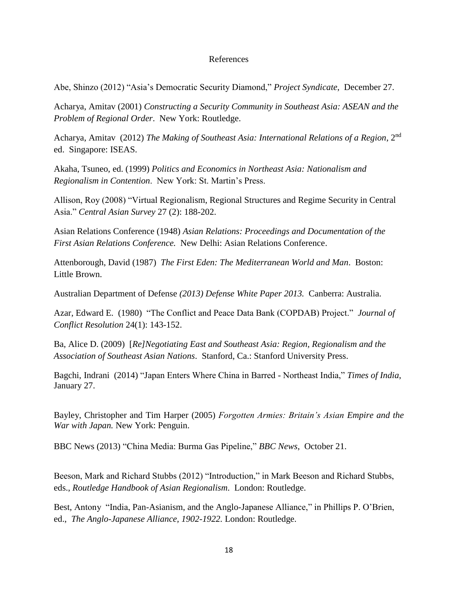### References

Abe, Shinzo (2012) "Asia's Democratic Security Diamond," *Project Syndicate*, December 27.

Acharya, Amitav (2001) *Constructing a Security Community in Southeast Asia: ASEAN and the Problem of Regional Order*. New York: Routledge.

Acharya, Amitav (2012) *The Making of Southeast Asia: International Relations of a Region*, 2nd ed. Singapore: ISEAS.

Akaha, Tsuneo, ed. (1999) *Politics and Economics in Northeast Asia: Nationalism and Regionalism in Contention*. New York: St. Martin's Press.

Allison, Roy (2008) "Virtual Regionalism, Regional Structures and Regime Security in Central Asia." *Central Asian Survey* 27 (2): 188-202.

Asian Relations Conference (1948) *Asian Relations: Proceedings and Documentation of the First Asian Relations Conference.* New Delhi: Asian Relations Conference.

Attenborough, David (1987) *The First Eden: The Mediterranean World and Man*. Boston: Little Brown.

Australian Department of Defense *(2013) Defense White Paper 2013.* Canberra: Australia.

Azar, Edward E. (1980) "The Conflict and Peace Data Bank (COPDAB) Project." *Journal of Conflict Resolution* 24(1): 143-152.

Ba, Alice D. (2009) [*Re]Negotiating East and Southeast Asia: Region, Regionalism and the Association of Southeast Asian Nations*. Stanford, Ca.: Stanford University Press.

Bagchi, Indrani (2014) "Japan Enters Where China in Barred - Northeast India," *Times of India*, January 27.

Bayley, Christopher and Tim Harper (2005) *Forgotten Armies: Britain's Asian Empire and the War with Japan.* New York: Penguin.

BBC News (2013) "China Media: Burma Gas Pipeline," *BBC News*, October 21.

Beeson, Mark and Richard Stubbs (2012) "Introduction," in Mark Beeson and Richard Stubbs, eds., *Routledge Handbook of Asian Regionalism*. London: Routledge.

Best, Antony "India, Pan-Asianism, and the Anglo-Japanese Alliance," in Phillips P. O'Brien, ed., *The Anglo-Japanese Alliance, 1902-1922.* London: Routledge.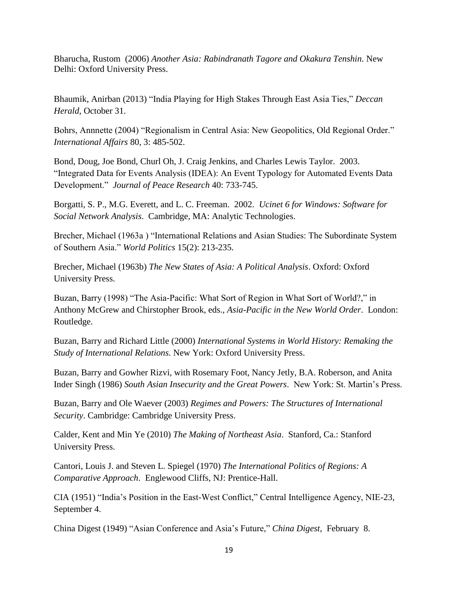Bharucha, Rustom (2006) *Another Asia: Rabindranath Tagore and Okakura Tenshin.* New Delhi: Oxford University Press.

Bhaumik, Anirban (2013) "India Playing for High Stakes Through East Asia Ties," *Deccan Herald*, October 31.

Bohrs, Annnette (2004) "Regionalism in Central Asia: New Geopolitics, Old Regional Order." *International Affairs* 80, 3: 485-502.

Bond, Doug, Joe Bond, Churl Oh, J. Craig Jenkins, and Charles Lewis Taylor. 2003. "Integrated Data for Events Analysis (IDEA): An Event Typology for Automated Events Data Development." *Journal of Peace Research* 40: 733-745.

Borgatti, S. P., M.G. Everett, and L. C. Freeman. 2002. *Ucinet 6 for Windows: Software for Social Network Analysis*. Cambridge, MA: Analytic Technologies.

Brecher, Michael (1963a ) "International Relations and Asian Studies: The Subordinate System of Southern Asia." *World Politics* 15(2): 213-235.

Brecher, Michael (1963b) *The New States of Asia: A Political Analysis*. Oxford: Oxford University Press.

Buzan, Barry (1998) "The Asia-Pacific: What Sort of Region in What Sort of World?," in Anthony McGrew and Chirstopher Brook, eds., *Asia-Pacific in the New World Order*. London: Routledge.

Buzan, Barry and Richard Little (2000) *International Systems in World History: Remaking the Study of International Relations.* New York: Oxford University Press.

Buzan, Barry and Gowher Rizvi, with Rosemary Foot, Nancy Jetly, B.A. Roberson, and Anita Inder Singh (1986) *South Asian Insecurity and the Great Powers*. New York: St. Martin's Press.

Buzan, Barry and Ole Waever (2003) *Regimes and Powers: The Structures of International Security*. Cambridge: Cambridge University Press.

Calder, Kent and Min Ye (2010) *The Making of Northeast Asia*. Stanford, Ca.: Stanford University Press.

Cantori, Louis J. and Steven L. Spiegel (1970) *The International Politics of Regions: A Comparative Approach*. Englewood Cliffs, NJ: Prentice-Hall.

CIA (1951) "India's Position in the East-West Conflict," Central Intelligence Agency, NIE-23, September 4.

China Digest (1949) "Asian Conference and Asia's Future," *China Digest*, February 8.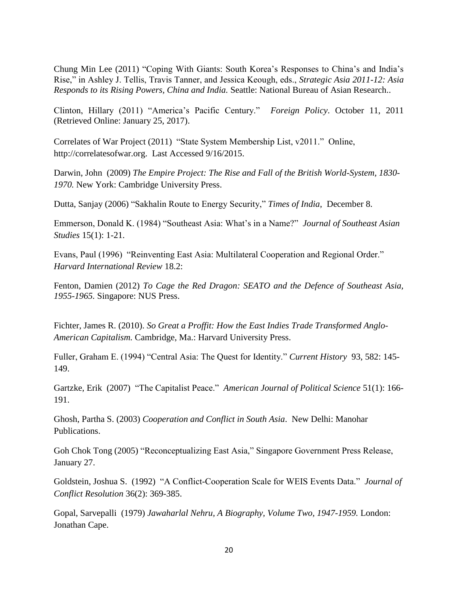Chung Min Lee (2011) "Coping With Giants: South Korea's Responses to China's and India's Rise," in Ashley J. Tellis, Travis Tanner, and Jessica Keough, eds., *Strategic Asia 2011-12: Asia Responds to its Rising Powers, China and India.* Seattle: National Bureau of Asian Research..

Clinton, Hillary (2011) "America's Pacific Century." *Foreign Policy*. October 11, 2011 (Retrieved Online: January 25, 2017).

Correlates of War Project (2011) "State System Membership List, v2011." Online, http://correlatesofwar.org. Last Accessed 9/16/2015.

Darwin, John (2009) *The Empire Project: The Rise and Fall of the British World-System, 1830- 1970.* New York: Cambridge University Press.

Dutta, Sanjay (2006) "Sakhalin Route to Energy Security," *Times of India*, December 8.

Emmerson, Donald K. (1984) "Southeast Asia: What's in a Name?" *Journal of Southeast Asian Studies* 15(1): 1-21.

Evans, Paul (1996) "Reinventing East Asia: Multilateral Cooperation and Regional Order." *Harvard International Review* 18.2:

Fenton, Damien (2012) *To Cage the Red Dragon: SEATO and the Defence of Southeast Asia, 1955-1965.* Singapore: NUS Press.

Fichter, James R. (2010). *So Great a Proffit: How the East Indies Trade Transformed Anglo-American Capitalism.* Cambridge, Ma.: Harvard University Press.

Fuller, Graham E. (1994) "Central Asia: The Quest for Identity." *Current History* 93, 582: 145- 149.

Gartzke, Erik (2007) "The Capitalist Peace." *American Journal of Political Science* 51(1): 166- 191.

Ghosh, Partha S. (2003) *Cooperation and Conflict in South Asia*. New Delhi: Manohar Publications.

Goh Chok Tong (2005) "Reconceptualizing East Asia," Singapore Government Press Release, January 27.

Goldstein, Joshua S. (1992) "A Conflict-Cooperation Scale for WEIS Events Data." *Journal of Conflict Resolution* 36(2): 369-385.

Gopal, Sarvepalli (1979) *Jawaharlal Nehru, A Biography, Volume Two, 1947-1959.* London: Jonathan Cape.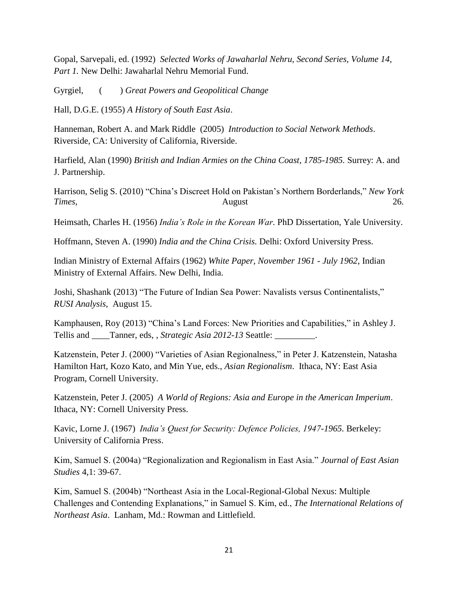Gopal, Sarvepali, ed. (1992) *Selected Works of Jawaharlal Nehru, Second Series, Volume 14, Part 1.* New Delhi: Jawaharlal Nehru Memorial Fund.

Gyrgiel, ( ) *Great Powers and Geopolitical Change*

Hall, D.G.E. (1955) *A History of South East Asia*.

Hanneman, Robert A. and Mark Riddle (2005) *Introduction to Social Network Methods*. Riverside, CA: University of California, Riverside.

Harfield, Alan (1990) *British and Indian Armies on the China Coast, 1785-1985.* Surrey: A. and J. Partnership.

Harrison, Selig S. (2010) "China's Discreet Hold on Pakistan's Northern Borderlands," *New York Times*, 26.

Heimsath, Charles H. (1956) *India's Role in the Korean War.* PhD Dissertation, Yale University.

Hoffmann, Steven A. (1990) *India and the China Crisis.* Delhi: Oxford University Press.

Indian Ministry of External Affairs (1962) *White Paper, November 1961 - July 1962*, Indian Ministry of External Affairs. New Delhi, India.

Joshi, Shashank (2013) "The Future of Indian Sea Power: Navalists versus Continentalists," *RUSI Analysis*, August 15.

Kamphausen, Roy (2013) "China's Land Forces: New Priorities and Capabilities," in Ashley J. Tellis and \_\_\_\_Tanner, eds, , *Strategic Asia 2012-13* Seattle: \_\_\_\_\_\_\_\_\_.

Katzenstein, Peter J. (2000) "Varieties of Asian Regionalness," in Peter J. Katzenstein, Natasha Hamilton Hart, Kozo Kato, and Min Yue, eds., *Asian Regionalism*. Ithaca, NY: East Asia Program, Cornell University.

Katzenstein, Peter J. (2005) *A World of Regions: Asia and Europe in the American Imperium*. Ithaca, NY: Cornell University Press.

Kavic, Lorne J. (1967) *India's Quest for Security: Defence Policies, 1947-1965*. Berkeley: University of California Press.

Kim, Samuel S. (2004a) "Regionalization and Regionalism in East Asia." *Journal of East Asian Studies* 4,1: 39-67.

Kim, Samuel S. (2004b) "Northeast Asia in the Local-Regional-Global Nexus: Multiple Challenges and Contending Explanations," in Samuel S. Kim, ed., *The International Relations of Northeast Asia*. Lanham, Md.: Rowman and Littlefield.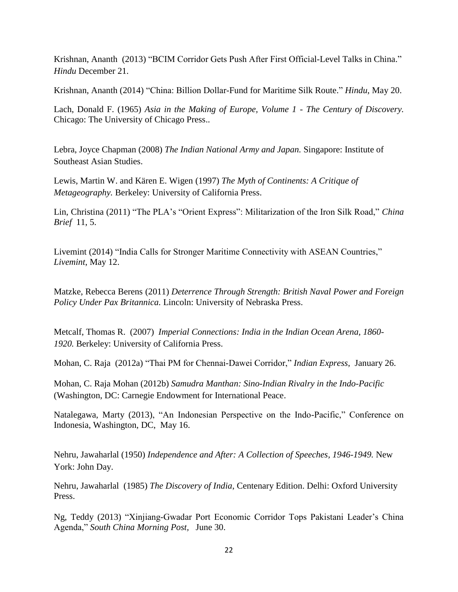Krishnan, Ananth (2013) "BCIM Corridor Gets Push After First Official-Level Talks in China." *Hindu* December 21.

Krishnan, Ananth (2014) "China: Billion Dollar-Fund for Maritime Silk Route." *Hindu*, May 20.

Lach, Donald F. (1965) *Asia in the Making of Europe, Volume 1 - The Century of Discovery.* Chicago: The University of Chicago Press..

Lebra, Joyce Chapman (2008) *The Indian National Army and Japan.* Singapore: Institute of Southeast Asian Studies.

Lewis, Martin W. and Kären E. Wigen (1997) *The Myth of Continents: A Critique of Metageography.* Berkeley: University of California Press.

Lin, Christina (2011) "The PLA's "Orient Express": Militarization of the Iron Silk Road," *China Brief* 11, 5.

Livemint (2014) "India Calls for Stronger Maritime Connectivity with ASEAN Countries," *Livemint*, May 12.

Matzke, Rebecca Berens (2011) *Deterrence Through Strength: British Naval Power and Foreign Policy Under Pax Britannica.* Lincoln: University of Nebraska Press.

Metcalf, Thomas R. (2007) *Imperial Connections: India in the Indian Ocean Arena, 1860- 1920.* Berkeley: University of California Press.

Mohan, C. Raja (2012a) "Thai PM for Chennai-Dawei Corridor," *Indian Express*, January 26.

Mohan, C. Raja Mohan (2012b) *Samudra Manthan: Sino-Indian Rivalry in the Indo-Pacific* (Washington, DC: Carnegie Endowment for International Peace.

Natalegawa, Marty (2013), "An Indonesian Perspective on the Indo-Pacific," Conference on Indonesia, Washington, DC, May 16.

Nehru, Jawaharlal (1950) *Independence and After: A Collection of Speeches, 1946-1949.* New York: John Day.

Nehru, Jawaharlal (1985) *The Discovery of India*, Centenary Edition. Delhi: Oxford University Press.

Ng, Teddy (2013) "Xinjiang-Gwadar Port Economic Corridor Tops Pakistani Leader's China Agenda," *South China Morning Post,* June 30.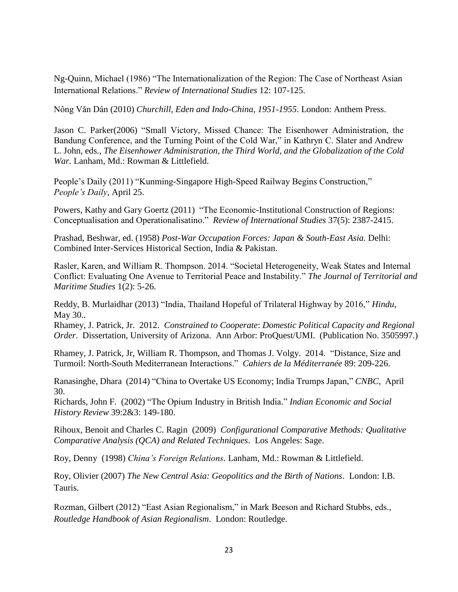Ng-Quinn, Michael (1986) "The Internationalization of the Region: The Case of Northeast Asian International Relations." *Review of International Studies* 12: 107-125.

Nông Văn Dân (2010) *Churchill, Eden and Indo-China, 1951-1955*. London: Anthem Press.

Jason C. Parker(2006) "Small Victory, Missed Chance: The Eisenhower Administration, the Bandung Conference, and the Turning Point of the Cold War," in Kathryn C. Slater and Andrew L. John, eds., *The Eisenhower Administration, the Third World, and the Globalization of the Cold War.* Lanham, Md.: Rowman & Littlefield.

People's Daily (2011) "Kunming-Singapore High-Speed Railway Begins Construction," *People's Daily*, April 25.

Powers, Kathy and Gary Goertz (2011) "The Economic-Institutional Construction of Regions: Conceptualisation and Operationalisatino." *Review of International Studies* 37(5): 2387-2415.

Prashad, Beshwar, ed. (1958) *Post-War Occupation Forces: Japan & South-East Asia.* Delhi: Combined Inter-Services Historical Section, India & Pakistan.

Rasler, Karen, and William R. Thompson. 2014. "Societal Heterogeneity, Weak States and Internal Conflict: Evaluating One Avenue to Territorial Peace and Instability." *The Journal of Territorial and Maritime Studies* 1(2): 5-26.

Reddy, B. Murlaidhar (2013) "India, Thailand Hopeful of Trilateral Highway by 2016," *Hindu*, May 30..

Rhamey, J. Patrick, Jr. 2012. *Constrained to Cooperate*: *Domestic Political Capacity and Regional Order*. Dissertation, University of Arizona. Ann Arbor: ProQuest/UMI. (Publication No. 3505997.)

Rhamey, J. Patrick, Jr, William R. Thompson, and Thomas J. Volgy. 2014. "Distance, Size and Turmoil: North-South Mediterranean Interactions." *Cahiers de la Méditerranée* 89: 209-226.

Ranasinghe, Dhara (2014) "China to Overtake US Economy; India Trumps Japan," *CNBC*, April 30.

Richards, John F. (2002) "The Opium Industry in British India." *Indian Economic and Social History Review* 39:2&3: 149-180.

Rihoux, Benoit and Charles C. Ragin (2009) *Configurational Comparative Methods: Qualitative Comparative Analysis (QCA) and Related Techniques*. Los Angeles: Sage.

Roy, Denny (1998) *China's Foreign Relations.* Lanham, Md.: Rowman & Littlefield.

Roy, Olivier (2007) *The New Central Asia: Geopolitics and the Birth of Nations*. London: I.B. Tauris.

Rozman, Gilbert (2012) "East Asian Regionalism," in Mark Beeson and Richard Stubbs, eds., *Routledge Handbook of Asian Regionalism*. London: Routledge.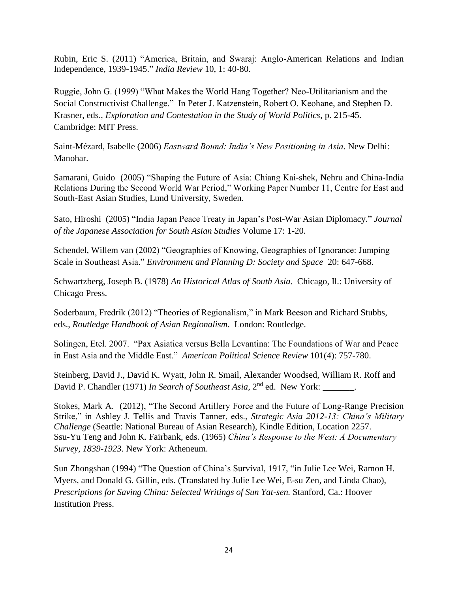Rubin, Eric S. (2011) "America, Britain, and Swaraj: Anglo-American Relations and Indian Independence, 1939-1945." *India Review* 10, 1: 40-80.

Ruggie, John G. (1999) "What Makes the World Hang Together? Neo-Utilitarianism and the Social Constructivist Challenge." In Peter J. Katzenstein, Robert O. Keohane, and Stephen D. Krasner, eds., *Exploration and Contestation in the Study of World Politics*, p. 215-45. Cambridge: MIT Press.

Saint-Mézard, Isabelle (2006) *Eastward Bound: India's New Positioning in Asia*. New Delhi: Manohar.

Samarani, Guido (2005) "Shaping the Future of Asia: Chiang Kai-shek, Nehru and China-India Relations During the Second World War Period," Working Paper Number 11, Centre for East and South-East Asian Studies, Lund University, Sweden.

Sato, Hiroshi (2005) "India Japan Peace Treaty in Japan's Post-War Asian Diplomacy." *Journal of the Japanese Association for South Asian Studies* Volume 17: 1-20.

Schendel, Willem van (2002) "Geographies of Knowing, Geographies of Ignorance: Jumping Scale in Southeast Asia." *Environment and Planning D: Society and Space* 20: 647-668.

Schwartzberg, Joseph B. (1978) *An Historical Atlas of South Asia*. Chicago, Il.: University of Chicago Press.

Soderbaum, Fredrik (2012) "Theories of Regionalism," in Mark Beeson and Richard Stubbs, eds., *Routledge Handbook of Asian Regionalism*. London: Routledge.

Solingen, Etel. 2007. "Pax Asiatica versus Bella Levantina: The Foundations of War and Peace in East Asia and the Middle East." *American Political Science Review* 101(4): 757-780.

Steinberg, David J., David K. Wyatt, John R. Smail, Alexander Woodsed, William R. Roff and David P. Chandler (1971) *In Search of Southeast Asia*, 2<sup>nd</sup> ed. New York:

Stokes, Mark A. (2012), "The Second Artillery Force and the Future of Long-Range Precision Strike," in Ashley J. Tellis and Travis Tanner, eds., *Strategic Asia 2012-13: China's Military Challenge* (Seattle: National Bureau of Asian Research), Kindle Edition, Location 2257. Ssu-Yu Teng and John K. Fairbank, eds. (1965) *China's Response to the West: A Documentary Survey, 1839-1923.* New York: Atheneum.

Sun Zhongshan (1994) "The Question of China's Survival, 1917, "in Julie Lee Wei, Ramon H. Myers, and Donald G. Gillin, eds. (Translated by Julie Lee Wei, E-su Zen, and Linda Chao), *Prescriptions for Saving China: Selected Writings of Sun Yat-sen.* Stanford, Ca.: Hoover Institution Press.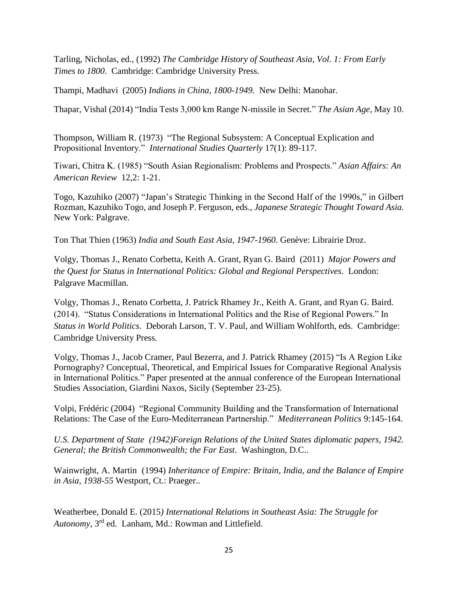Tarling, Nicholas, ed., (1992) *The Cambridge History of Southeast Asia, Vol. 1: From Early Times to 1800*. Cambridge: Cambridge University Press.

Thampi, Madhavi (2005) *Indians in China, 1800-1949.* New Delhi: Manohar.

Thapar, Vishal (2014) "India Tests 3,000 km Range N-missile in Secret." *The Asian Age*, May 10.

Thompson, William R. (1973) "The Regional Subsystem: A Conceptual Explication and Propositional Inventory." *International Studies Quarterly* 17(1): 89-117.

Tiwari, Chitra K. (1985) "South Asian Regionalism: Problems and Prospects." *Asian Affairs: An American Review* 12,2: 1-21.

Togo, Kazuhiko (2007) "Japan's Strategic Thinking in the Second Half of the 1990s," in Gilbert Rozman, Kazuhiko Togo, and Joseph P. Ferguson, eds., *Japanese Strategic Thought Toward Asia.* New York: Palgrave.

Ton That Thien (1963) *India and South East Asia, 1947-1960.* Genève: Librairie Droz.

Volgy, Thomas J., Renato Corbetta, Keith A. Grant, Ryan G. Baird (2011) *Major Powers and the Quest for Status in International Politics: Global and Regional Perspectives*. London: Palgrave Macmillan.

Volgy, Thomas J., Renato Corbetta, J. Patrick Rhamey Jr., Keith A. Grant, and Ryan G. Baird. (2014). "Status Considerations in International Politics and the Rise of Regional Powers." In *Status in World Politics*. Deborah Larson, T. V. Paul, and William Wohlforth, eds. Cambridge: Cambridge University Press.

Volgy, Thomas J., Jacob Cramer, Paul Bezerra, and J. Patrick Rhamey (2015) "Is A Region Like Pornography? Conceptual, Theoretical, and Empirical Issues for Comparative Regional Analysis in International Politics." Paper presented at the annual conference of the European International Studies Association, Giardini Naxos, Sicily (September 23-25).

Volpi, Frédéric (2004) "Regional Community Building and the Transformation of International Relations: The Case of the Euro-Mediterranean Partnership." *Mediterranean Politics* 9:145-164.

*U.S. Department of State (1942)Foreign Relations of the United States diplomatic papers, 1942. General; the British Commonwealth; the Far East*. Washington, D.C..

Wainwright, A. Martin (1994) *Inheritance of Empire: Britain, India, and the Balance of Empire in Asia, 1938-55* Westport, Ct.: Praeger..

Weatherbee, Donald E. (2015*) International Relations in Southeast Asia: The Struggle for Autonomy*, 3rd ed. Lanham, Md.: Rowman and Littlefield.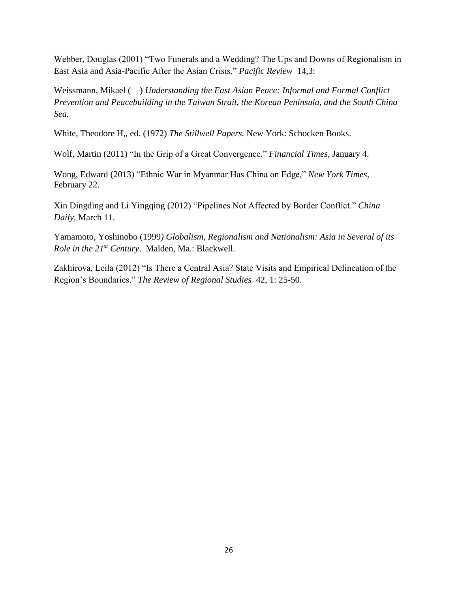Webber, Douglas (2001) "Two Funerals and a Wedding? The Ups and Downs of Regionalism in East Asia and Asia-Pacific After the Asian Crisis." *Pacific Review* 14,3:

Weissmann, Mikael ( ) *Understanding the East Asian Peace: Informal and Formal Conflict Prevention and Peacebuilding in the Taiwan Strait, the Korean Peninsula, and the South China Sea.*

White, Theodore H,, ed. (1972) *The Stillwell Papers.* New York: Schocken Books.

Wolf, Martin (2011) "In the Grip of a Great Convergence." *Financial Times*, January 4.

Wong, Edward (2013) "Ethnic War in Myanmar Has China on Edge," *New York Times*, February 22.

Xin Dingding and Li Yingqing (2012) "Pipelines Not Affected by Border Conflict." *China Daily*, March 11.

Yamamoto, Yoshinobo (1999*) Globalism, Regionalism and Nationalism: Asia in Several of its Role in the 21st Century*. Malden, Ma.: Blackwell.

Zakhirova, Leila (2012) "Is There a Central Asia? State Visits and Empirical Delineation of the Region's Boundaries." *The Review of Regional Studies* 42, 1: 25-50.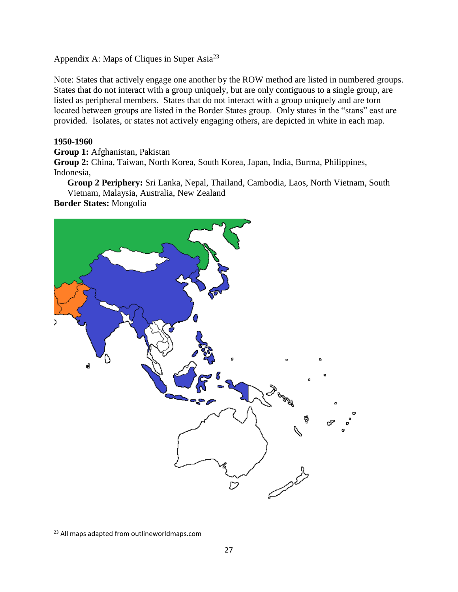Appendix A: Maps of Cliques in Super Asia<sup>23</sup>

Note: States that actively engage one another by the ROW method are listed in numbered groups. States that do not interact with a group uniquely, but are only contiguous to a single group, are listed as peripheral members. States that do not interact with a group uniquely and are torn located between groups are listed in the Border States group. Only states in the "stans" east are provided. Isolates, or states not actively engaging others, are depicted in white in each map.

## **1950-1960**

**Group 1:** Afghanistan, Pakistan

**Group 2:** China, Taiwan, North Korea, South Korea, Japan, India, Burma, Philippines, Indonesia,

**Group 2 Periphery:** Sri Lanka, Nepal, Thailand, Cambodia, Laos, North Vietnam, South Vietnam, Malaysia, Australia, New Zealand

**Border States:** Mongolia



<sup>&</sup>lt;sup>23</sup> All maps adapted from outlineworldmaps.com

 $\overline{\phantom{a}}$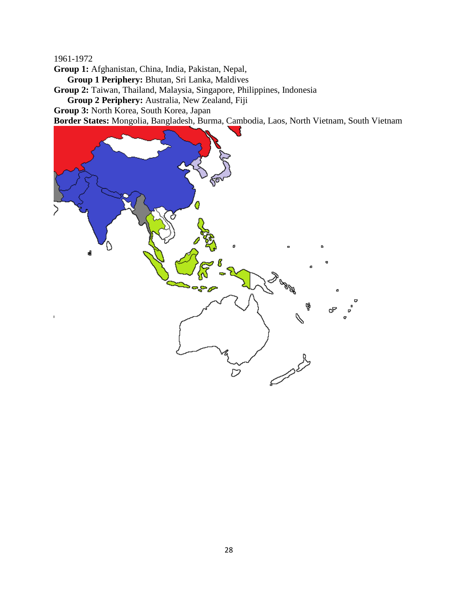**Group 1:** Afghanistan, China, India, Pakistan, Nepal,

**Group 1 Periphery:** Bhutan, Sri Lanka, Maldives

**Group 2:** Taiwan, Thailand, Malaysia, Singapore, Philippines, Indonesia

**Group 2 Periphery:** Australia, New Zealand, Fiji

**Group 3:** North Korea, South Korea, Japan

**Border States:** Mongolia, Bangladesh, Burma, Cambodia, Laos, North Vietnam, South Vietnam

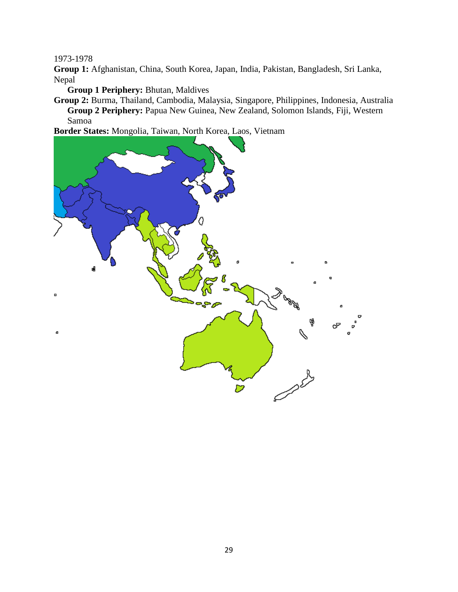**Group 1:** Afghanistan, China, South Korea, Japan, India, Pakistan, Bangladesh, Sri Lanka, Nepal

**Group 1 Periphery:** Bhutan, Maldives

**Group 2:** Burma, Thailand, Cambodia, Malaysia, Singapore, Philippines, Indonesia, Australia **Group 2 Periphery:** Papua New Guinea, New Zealand, Solomon Islands, Fiji, Western Samoa

**Border States:** Mongolia, Taiwan, North Korea, Laos, Vietnam

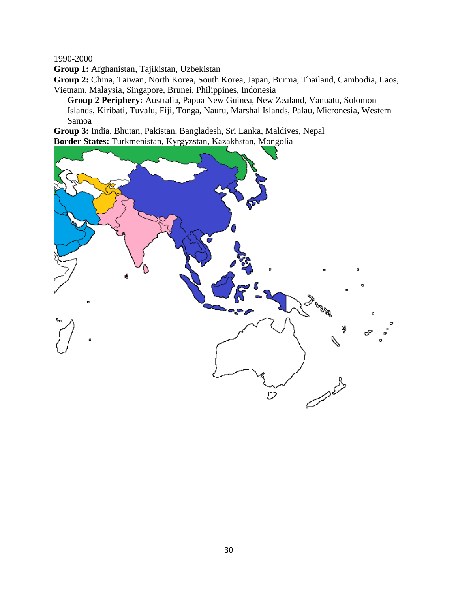**Group 1:** Afghanistan, Tajikistan, Uzbekistan

**Group 2:** China, Taiwan, North Korea, South Korea, Japan, Burma, Thailand, Cambodia, Laos, Vietnam, Malaysia, Singapore, Brunei, Philippines, Indonesia

**Group 2 Periphery:** Australia, Papua New Guinea, New Zealand, Vanuatu, Solomon Islands, Kiribati, Tuvalu, Fiji, Tonga, Nauru, Marshal Islands, Palau, Micronesia, Western Samoa

**Group 3:** India, Bhutan, Pakistan, Bangladesh, Sri Lanka, Maldives, Nepal **Border States:** Turkmenistan, Kyrgyzstan, Kazakhstan, Mongolia

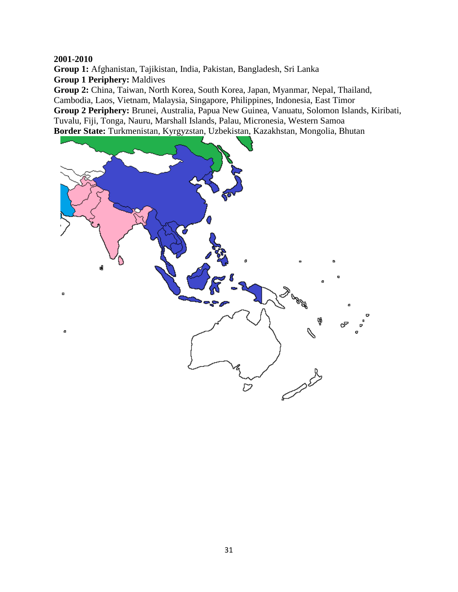**Group 1:** Afghanistan, Tajikistan, India, Pakistan, Bangladesh, Sri Lanka **Group 1 Periphery:** Maldives

**Group 2:** China, Taiwan, North Korea, South Korea, Japan, Myanmar, Nepal, Thailand, Cambodia, Laos, Vietnam, Malaysia, Singapore, Philippines, Indonesia, East Timor **Group 2 Periphery:** Brunei, Australia, Papua New Guinea, Vanuatu, Solomon Islands, Kiribati, Tuvalu, Fiji, Tonga, Nauru, Marshall Islands, Palau, Micronesia, Western Samoa **Border State:** Turkmenistan, Kyrgyzstan, Uzbekistan, Kazakhstan, Mongolia, Bhutan

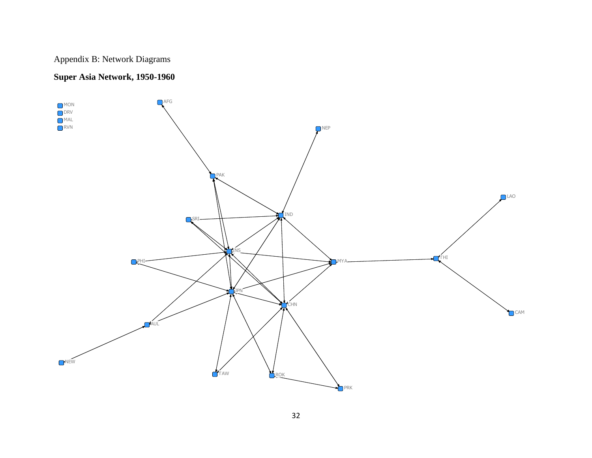# Appendix B: Network Diagrams

## **Super Asia Network, 1950-1960**

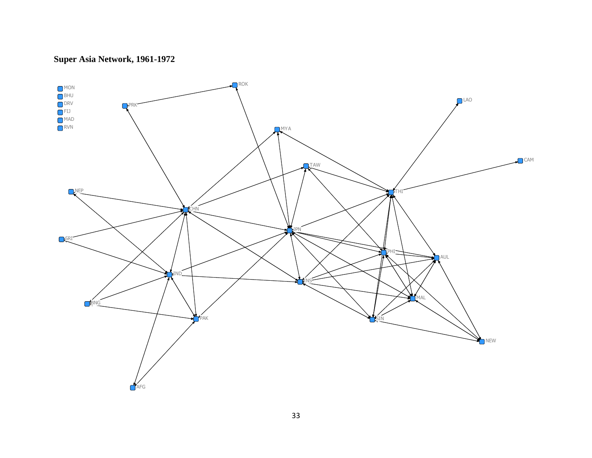## **Super Asia Network, 1961-1972**

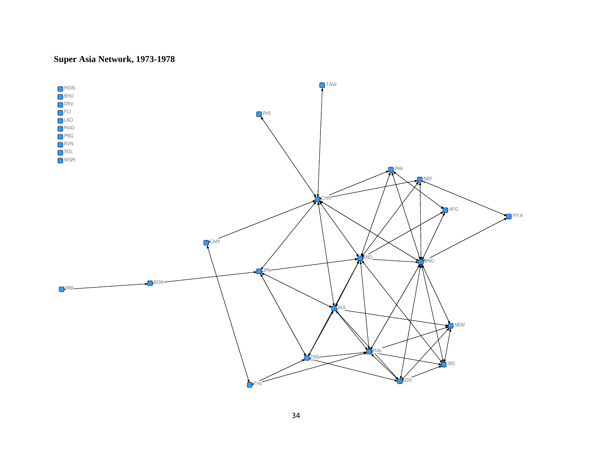## **Super Asia Network, 1973-1978**

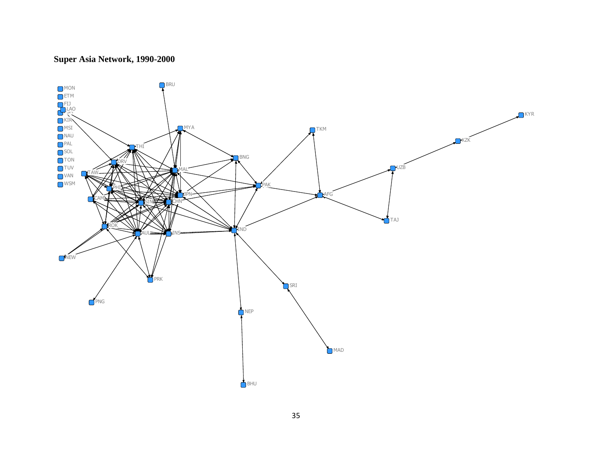## **Super Asia Network, 1990-2000**